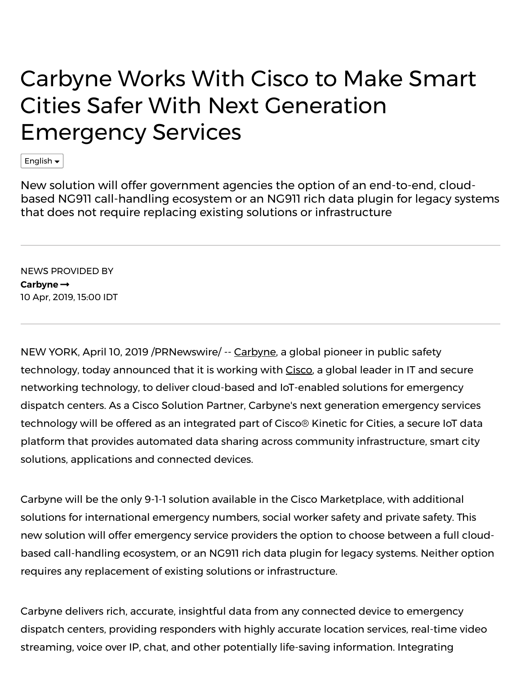## Carbyne Works With Cisco to Make Smart Cities Safer With Next Generation [Emergency](https://www.prnewswire.com/news-releases/carbyne-works-with-cisco-to-make-smart-cities-safer-with-next-generation-emergency-services-300829717.html) Services

English  $\blacktriangleright$ 

New solution will offer government agencies the option of an end-to-end, cloudbased NG911 call-handling ecosystem or an NG911 rich data plugin for legacy systems that does not require replacing existing solutions or infrastructure

NEWS PROVIDED BY **[Carbyne](https://www.prnewswire.com/news/carbyne)** 10 Apr, 2019, 15:00 IDT

NEW YORK, April 10, 2019 /PRNewswire/ *--* [Carbyne](https://carbyne911.com/), a global pioneer in public safety technology, today announced that it is working with [Cisco](https://www.cisco.com/c/en_il/index.html), a global leader in IT and secure networking technology, to deliver cloud-based and IoT-enabled solutions for emergency dispatch centers. As a Cisco Solution Partner, Carbyne's next generation emergency services technology will be offered as an integrated part of Cisco® [Kinetic](https://www.cisco.com/c/en/us/solutions/industries/smart-connected-communities/kinetic-for-cities.html) for Cities, a secure IoT data platform that provides automated data sharing across community infrastructure, smart city solutions, applications and connected devices.

Carbyne will be the only 9-1-1 solution available in the Cisco Marketplace, with additional solutions for international emergency numbers, social worker safety and private safety. This new solution will offer emergency service providers the option to choose between a full cloudbased call-handling ecosystem, or an NG911 rich data plugin for legacy systems. Neither option requires any replacement of existing solutions or infrastructure.

Carbyne delivers rich, accurate, insightful data from any connected device to emergency dispatch centers, providing responders with highly accurate location services, real-time video streaming, voice over IP, chat, and other potentially life-saving information. Integrating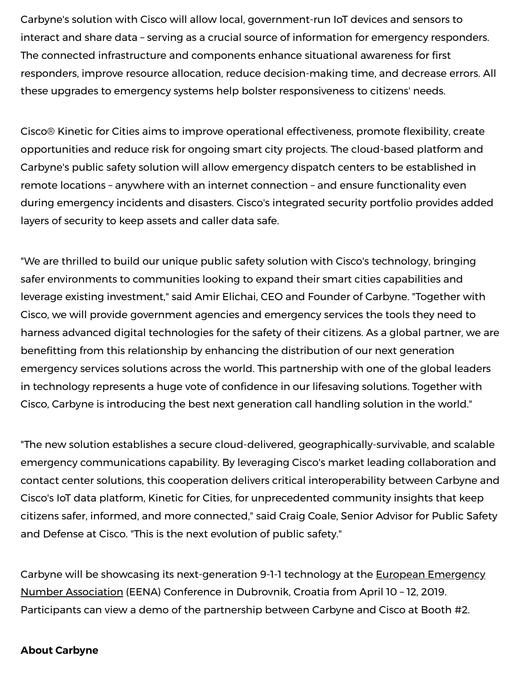Carbyne's solution with Cisco will allow local, government-run IoT devices and sensors to interact and share data – serving as a crucial source of information for emergency responders. The connected infrastructure and components enhance situational awareness for first responders, improve resource allocation, reduce decision-making time, and decrease errors. All these upgrades to emergency systems help bolster responsiveness to citizens' needs.

Cisco® [Kinetic](https://www.cisco.com/c/en/us/solutions/industries/smart-connected-communities/kinetic-for-cities.html) for Cities aims to improve operational effectiveness, promote flexibility, create opportunities and reduce risk for ongoing smart city projects. The cloud-based platform and Carbyne's public safety solution will allow emergency dispatch centers to be established in remote locations – anywhere with an internet connection – and ensure functionality even during emergency incidents and disasters. Cisco's integrated security portfolio provides added layers of security to keep assets and caller data safe.

"We are thrilled to build our unique public safety solution with Cisco's technology, bringing safer environments to communities looking to expand their smart cities capabilities and leverage existing investment," said Amir Elichai, CEO and Founder of Carbyne. "Together with Cisco, we will provide government agencies and emergency services the tools they need to harness advanced digital technologies for the safety of their citizens. As a global partner, we are benefitting from this relationship by enhancing the distribution of our next generation emergency services solutions across the world. This partnership with one of the global leaders in technology represents a huge vote of confidence in our lifesaving solutions. Together with Cisco, Carbyne is introducing the best next generation call handling solution in the world."

"The new solution establishes a secure cloud-delivered, geographically-survivable, and scalable emergency communications capability. By leveraging Cisco's market leading collaboration and contact center solutions, this cooperation delivers critical interoperability between Carbyne and Cisco's IoT data platform, Kinetic for Cities, for unprecedented community insights that keep citizens safer, informed, and more connected," said Craig Coale, Senior Advisor for Public Safety and Defense at Cisco. "This is the next evolution of public safety."

Carbyne will be showcasing its [next-generation](https://eenaconference.org/) 9-1-1 technology at the European Emergency Number Association (EENA) Conference in Dubrovnik, Croatia from April 10 – 12, 2019. Participants can view a demo of the partnership between Carbyne and Cisco at Booth #2.

## https://www.prnewswire.com/il/news-releases/carbon-to-make-smart-cities-safer-with-next-generation-emergency-s **About Carbyne**